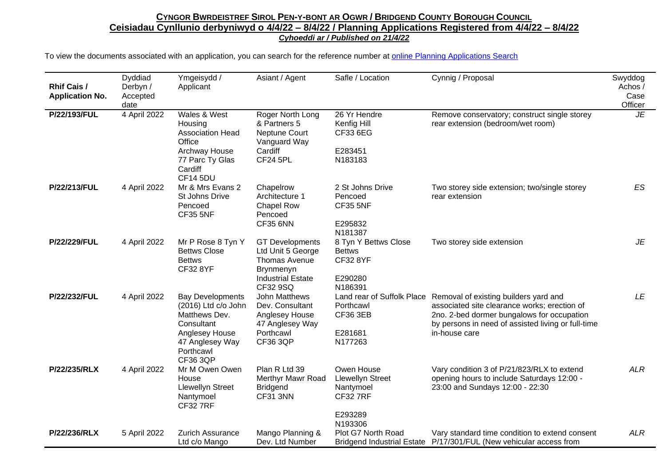## CYNGOR BWRDEISTREF SIROL PEN-Y-BONT AR OGWR / BRIDGEND COUNTY BOROUGH COUNCIL **Ceisiadau Cynllunio derbyniwyd o 4/4/22 – 8/4/22 / Planning Applications Registered from 4/4/22 – 8/4/22** *Cyhoeddi ar / Published on 21/4/22*

| <b>Rhif Cais /</b><br><b>Application No.</b> | Dyddiad<br>Derbyn /<br>Accepted<br>date | Ymgeisydd /<br>Applicant                                                                                                                    | Asiant / Agent                                                                                                    | Safle / Location                                                                            | Cynnig / Proposal                                                                                                                                                                                                                     | Swyddog<br>Achos /<br>Case<br>Officer |
|----------------------------------------------|-----------------------------------------|---------------------------------------------------------------------------------------------------------------------------------------------|-------------------------------------------------------------------------------------------------------------------|---------------------------------------------------------------------------------------------|---------------------------------------------------------------------------------------------------------------------------------------------------------------------------------------------------------------------------------------|---------------------------------------|
| P/22/193/FUL                                 | 4 April 2022                            | Wales & West<br>Housing<br><b>Association Head</b><br>Office<br>Archway House<br>77 Parc Ty Glas<br>Cardiff                                 | Roger North Long<br>& Partners 5<br>Neptune Court<br>Vanguard Way<br>Cardiff<br><b>CF24 5PL</b>                   | 26 Yr Hendre<br>Kenfig Hill<br>CF33 6EG<br>E283451<br>N183183                               | Remove conservatory; construct single storey<br>rear extension (bedroom/wet room)                                                                                                                                                     | JE                                    |
| P/22/213/FUL                                 | 4 April 2022                            | <b>CF14 5DU</b><br>Mr & Mrs Evans 2<br>St Johns Drive<br>Pencoed<br><b>CF35 5NF</b>                                                         | Chapelrow<br>Architecture 1<br><b>Chapel Row</b><br>Pencoed<br><b>CF35 6NN</b>                                    | 2 St Johns Drive<br>Pencoed<br><b>CF35 5NF</b><br>E295832<br>N181387                        | Two storey side extension; two/single storey<br>rear extension                                                                                                                                                                        | ES                                    |
| P/22/229/FUL                                 | 4 April 2022                            | Mr P Rose 8 Tyn Y<br><b>Bettws Close</b><br><b>Bettws</b><br><b>CF32 8YF</b>                                                                | <b>GT</b> Developments<br>Ltd Unit 5 George<br>Thomas Avenue<br>Brynmenyn<br><b>Industrial Estate</b><br>CF32 9SQ | 8 Tyn Y Bettws Close<br><b>Bettws</b><br><b>CF32 8YF</b><br>E290280<br>N186391              | Two storey side extension                                                                                                                                                                                                             | JE                                    |
| P/22/232/FUL                                 | 4 April 2022                            | <b>Bay Developments</b><br>(2016) Ltd c/o John<br>Matthews Dev.<br>Consultant<br>Anglesey House<br>47 Anglesey Way<br>Porthcawl<br>CF36 3QP | <b>John Matthews</b><br>Dev. Consultant<br>Anglesey House<br>47 Anglesey Way<br>Porthcawl<br><b>CF36 3QP</b>      | Porthcawl<br><b>CF36 3EB</b><br>E281681<br>N177263                                          | Land rear of Suffolk Place Removal of existing builders yard and<br>associated site clearance works; erection of<br>2no. 2-bed dormer bungalows for occupation<br>by persons in need of assisted living or full-time<br>in-house care | LE                                    |
| P/22/235/RLX                                 | 4 April 2022                            | Mr M Owen Owen<br>House<br><b>Llewellyn Street</b><br>Nantymoel<br><b>CF327RF</b>                                                           | Plan R Ltd 39<br>Merthyr Mawr Road<br><b>Bridgend</b><br><b>CF31 3NN</b>                                          | Owen House<br><b>Llewellyn Street</b><br>Nantymoel<br><b>CF32 7RF</b><br>E293289<br>N193306 | Vary condition 3 of P/21/823/RLX to extend<br>opening hours to include Saturdays 12:00 -<br>23:00 and Sundays 12:00 - 22:30                                                                                                           | <b>ALR</b>                            |
| P/22/236/RLX                                 | 5 April 2022                            | <b>Zurich Assurance</b><br>Ltd c/o Mango                                                                                                    | Mango Planning &<br>Dev. Ltd Number                                                                               | Plot G7 North Road                                                                          | Vary standard time condition to extend consent<br>Bridgend Industrial Estate P/17/301/FUL (New vehicular access from                                                                                                                  | <b>ALR</b>                            |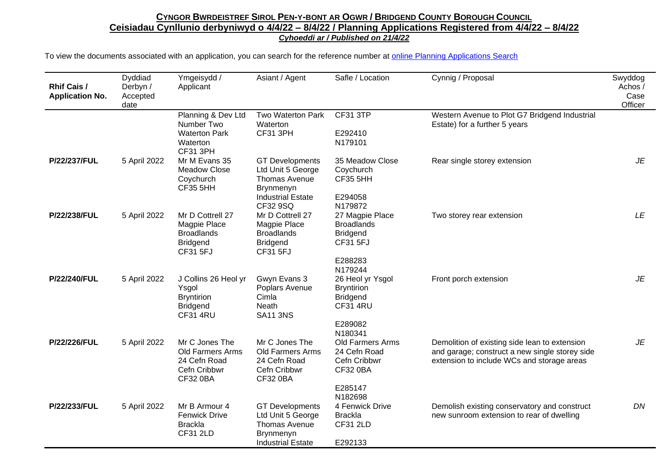## CYNGOR BWRDEISTREF SIROL PEN-Y-BONT AR OGWR / BRIDGEND COUNTY BOROUGH COUNCIL **Ceisiadau Cynllunio derbyniwyd o 4/4/22 – 8/4/22 / Planning Applications Registered from 4/4/22 – 8/4/22** *Cyhoeddi ar / Published on 21/4/22*

| <b>Rhif Cais /</b><br><b>Application No.</b> | Dyddiad<br>Derbyn /<br>Accepted<br>date | Ymgeisydd /<br>Applicant                                                                     | Asiant / Agent                                                                                                    | Safle / Location                                                                                             | Cynnig / Proposal                                                                                                                             | Swyddog<br>Achos /<br>Case<br>Officer |
|----------------------------------------------|-----------------------------------------|----------------------------------------------------------------------------------------------|-------------------------------------------------------------------------------------------------------------------|--------------------------------------------------------------------------------------------------------------|-----------------------------------------------------------------------------------------------------------------------------------------------|---------------------------------------|
|                                              |                                         | Planning & Dev Ltd<br>Number Two<br><b>Waterton Park</b><br>Waterton<br><b>CF31 3PH</b>      | Two Waterton Park<br>Waterton<br><b>CF31 3PH</b>                                                                  | <b>CF31 3TP</b><br>E292410<br>N179101                                                                        | Western Avenue to Plot G7 Bridgend Industrial<br>Estate) for a further 5 years                                                                |                                       |
| P/22/237/FUL                                 | 5 April 2022                            | Mr M Evans 35<br><b>Meadow Close</b><br>Coychurch<br><b>CF35 5HH</b>                         | <b>GT Developments</b><br>Ltd Unit 5 George<br>Thomas Avenue<br>Brynmenyn<br><b>Industrial Estate</b><br>CF32 9SQ | 35 Meadow Close<br>Coychurch<br><b>CF35 5HH</b><br>E294058<br>N179872                                        | Rear single storey extension                                                                                                                  | JE                                    |
| P/22/238/FUL                                 | 5 April 2022                            | Mr D Cottrell 27<br>Magpie Place<br><b>Broadlands</b><br><b>Bridgend</b><br>CF31 5FJ         | Mr D Cottrell 27<br>Magpie Place<br><b>Broadlands</b><br><b>Bridgend</b><br>CF31 5FJ                              | 27 Magpie Place<br><b>Broadlands</b><br><b>Bridgend</b><br><b>CF31 5FJ</b><br>E288283                        | Two storey rear extension                                                                                                                     | LE                                    |
| P/22/240/FUL                                 | 5 April 2022                            | J Collins 26 Heol yr<br>Ysgol<br><b>Bryntirion</b><br><b>Bridgend</b><br><b>CF31 4RU</b>     | Gwyn Evans 3<br>Poplars Avenue<br>Cimla<br>Neath<br><b>SA11 3NS</b>                                               | N179244<br>26 Heol yr Ysgol<br><b>Bryntirion</b><br><b>Bridgend</b><br><b>CF31 4RU</b><br>E289082<br>N180341 | Front porch extension                                                                                                                         | JE                                    |
| P/22/226/FUL                                 | 5 April 2022                            | Mr C Jones The<br><b>Old Farmers Arms</b><br>24 Cefn Road<br>Cefn Cribbwr<br><b>CF32 0BA</b> | Mr C Jones The<br><b>Old Farmers Arms</b><br>24 Cefn Road<br>Cefn Cribbwr<br><b>CF32 0BA</b>                      | Old Farmers Arms<br>24 Cefn Road<br>Cefn Cribbwr<br><b>CF32 0BA</b><br>E285147<br>N182698                    | Demolition of existing side lean to extension<br>and garage; construct a new single storey side<br>extension to include WCs and storage areas | JE                                    |
| P/22/233/FUL                                 | 5 April 2022                            | Mr B Armour 4<br><b>Fenwick Drive</b><br><b>Brackla</b><br><b>CF31 2LD</b>                   | <b>GT Developments</b><br>Ltd Unit 5 George<br>Thomas Avenue<br><b>Brynmenyn</b><br><b>Industrial Estate</b>      | 4 Fenwick Drive<br><b>Brackla</b><br><b>CF31 2LD</b><br>E292133                                              | Demolish existing conservatory and construct<br>new sunroom extension to rear of dwelling                                                     | DN                                    |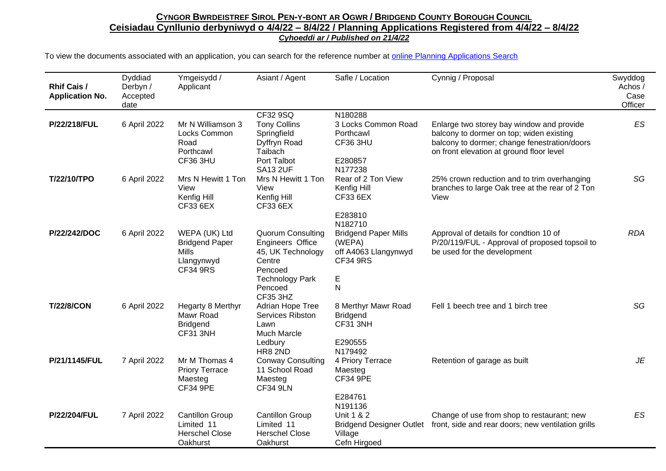## CYNGOR BWRDEISTREF SIROL PEN-Y-BONT AR OGWR / BRIDGEND COUNTY BOROUGH COUNCIL **Ceisiadau Cynllunio derbyniwyd o 4/4/22 – 8/4/22 / Planning Applications Registered from 4/4/22 – 8/4/22** *Cyhoeddi ar / Published on 21/4/22*

| <b>Rhif Cais /</b><br><b>Application No.</b> | Dyddiad<br>Derbyn /<br>Accepted<br>date | Ymgeisydd /<br>Applicant                                                                | Asiant / Agent                                                                                                                                 | Safle / Location                                                                           | Cynnig / Proposal                                                                                                                                                                 | Swyddog<br>Achos /<br>Case<br>Officer |
|----------------------------------------------|-----------------------------------------|-----------------------------------------------------------------------------------------|------------------------------------------------------------------------------------------------------------------------------------------------|--------------------------------------------------------------------------------------------|-----------------------------------------------------------------------------------------------------------------------------------------------------------------------------------|---------------------------------------|
| P/22/218/FUL                                 | 6 April 2022                            | Mr N Williamson 3<br>Locks Common<br>Road<br>Porthcawl<br>CF36 3HU                      | CF32 9SQ<br><b>Tony Collins</b><br>Springfield<br>Dyffryn Road<br>Taibach<br>Port Talbot<br><b>SA13 2UF</b>                                    | N180288<br>3 Locks Common Road<br>Porthcawl<br><b>CF36 3HU</b><br>E280857<br>N177238       | Enlarge two storey bay window and provide<br>balcony to dormer on top; widen existing<br>balcony to dormer; change fenestration/doors<br>on front elevation at ground floor level | ES                                    |
| T/22/10/TPO                                  | 6 April 2022                            | Mrs N Hewitt 1 Ton<br>View<br>Kenfig Hill<br>CF33 6EX                                   | Mrs N Hewitt 1 Ton<br>View<br>Kenfig Hill<br>CF33 6EX                                                                                          | Rear of 2 Ton View<br>Kenfig Hill<br>CF33 6EX<br>E283810<br>N182710                        | 25% crown reduction and to trim overhanging<br>branches to large Oak tree at the rear of 2 Ton<br>View                                                                            | SG                                    |
| P/22/242/DOC                                 | 6 April 2022                            | WEPA (UK) Ltd<br><b>Bridgend Paper</b><br><b>Mills</b><br>Llangynwyd<br><b>CF34 9RS</b> | <b>Quorum Consulting</b><br>Engineers Office<br>45, UK Technology<br>Centre<br>Pencoed<br><b>Technology Park</b><br>Pencoed<br><b>CF35 3HZ</b> | <b>Bridgend Paper Mills</b><br>(WEPA)<br>off A4063 Llangynwyd<br><b>CF34 9RS</b><br>E<br>N | Approval of details for condtion 10 of<br>P/20/119/FUL - Approval of proposed topsoil to<br>be used for the development                                                           | <b>RDA</b>                            |
| <b>T/22/8/CON</b>                            | 6 April 2022                            | Hegarty 8 Merthyr<br>Mawr Road<br><b>Bridgend</b><br>CF31 3NH                           | Adrian Hope Tree<br>Services Ribston<br>Lawn<br>Much Marcle<br>Ledbury<br><b>HR8 2ND</b>                                                       | 8 Merthyr Mawr Road<br><b>Bridgend</b><br>CF31 3NH<br>E290555<br>N179492                   | Fell 1 beech tree and 1 birch tree                                                                                                                                                | SG                                    |
| P/21/1145/FUL                                | 7 April 2022                            | Mr M Thomas 4<br><b>Priory Terrace</b><br>Maesteg<br><b>CF34 9PE</b>                    | <b>Conway Consulting</b><br>11 School Road<br>Maesteg<br><b>CF34 9LN</b>                                                                       | 4 Priory Terrace<br>Maesteg<br><b>CF34 9PE</b><br>E284761<br>N191136                       | Retention of garage as built                                                                                                                                                      | JE                                    |
| P/22/204/FUL                                 | 7 April 2022                            | <b>Cantillon Group</b><br>Limited 11<br><b>Herschel Close</b><br>Oakhurst               | <b>Cantillon Group</b><br>Limited 11<br><b>Herschel Close</b><br>Oakhurst                                                                      | Unit 1 & 2<br><b>Bridgend Designer Outlet</b><br>Village<br>Cefn Hirgoed                   | Change of use from shop to restaurant; new<br>front, side and rear doors; new ventilation grills                                                                                  | ES                                    |